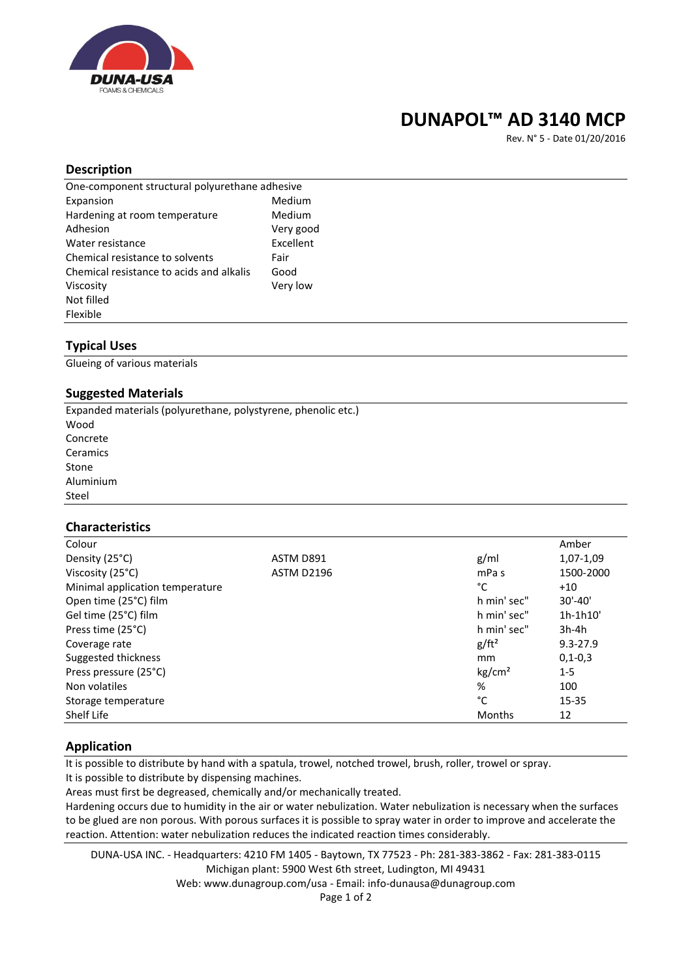

## **DUNAPOL™ AD 3140 MCP**

Rev. N° 5 - Date 01/20/2016

### **Description**

| One-component structural polyurethane adhesive |           |  |
|------------------------------------------------|-----------|--|
| Expansion                                      | Medium    |  |
| Hardening at room temperature                  | Medium    |  |
| Adhesion                                       | Very good |  |
| Water resistance                               | Excellent |  |
| Chemical resistance to solvents                | Fair      |  |
| Chemical resistance to acids and alkalis       | Good      |  |
| Viscosity                                      | Very low  |  |
| Not filled                                     |           |  |
| Flexible                                       |           |  |

## **Typical Uses**

Glueing of various materials

## **Suggested Materials**

Expanded materials (polyurethane, polystyrene, phenolic etc.) Wood Concrete Ceramics Stone Aluminium Steel

## **Characteristics**

| Colour                          |                   |                    | Amber         |
|---------------------------------|-------------------|--------------------|---------------|
| Density (25°C)                  | ASTM D891         | g/ml               | 1,07-1,09     |
| Viscosity (25°C)                | <b>ASTM D2196</b> | mPa <sub>s</sub>   | 1500-2000     |
| Minimal application temperature |                   | °C                 | $+10$         |
| Open time (25°C) film           |                   | h min' sec"        | $30' - 40'$   |
| Gel time (25°C) film            |                   | h min' sec"        | 1h-1h10'      |
| Press time (25°C)               |                   | h min' sec"        | $3h-4h$       |
| Coverage rate                   |                   | $g/ft^2$           | $9.3 - 27.9$  |
| Suggested thickness             |                   | mm                 | $0, 1 - 0, 3$ |
| Press pressure (25°C)           |                   | kg/cm <sup>2</sup> | $1 - 5$       |
| Non volatiles                   |                   | %                  | 100           |
| Storage temperature             |                   | °C                 | $15 - 35$     |
| Shelf Life                      |                   | Months             | 12            |

## **Application**

It is possible to distribute by hand with a spatula, trowel, notched trowel, brush, roller, trowel or spray. It is possible to distribute by dispensing machines.

Areas must first be degreased, chemically and/or mechanically treated.

Hardening occurs due to humidity in the air or water nebulization. Water nebulization is necessary when the surfaces to be glued are non porous. With porous surfaces it is possible to spray water in order to improve and accelerate the reaction. Attention: water nebulization reduces the indicated reaction times considerably.

DUNA-USA INC. - Headquarters: 4210 FM 1405 - Baytown, TX 77523 - Ph: 281-383-3862 - Fax: 281-383-0115 Michigan plant: 5900 West 6th street, Ludington, MI 49431 Web: www.dunagroup.com/usa - Email: info-dunausa@dunagroup.com